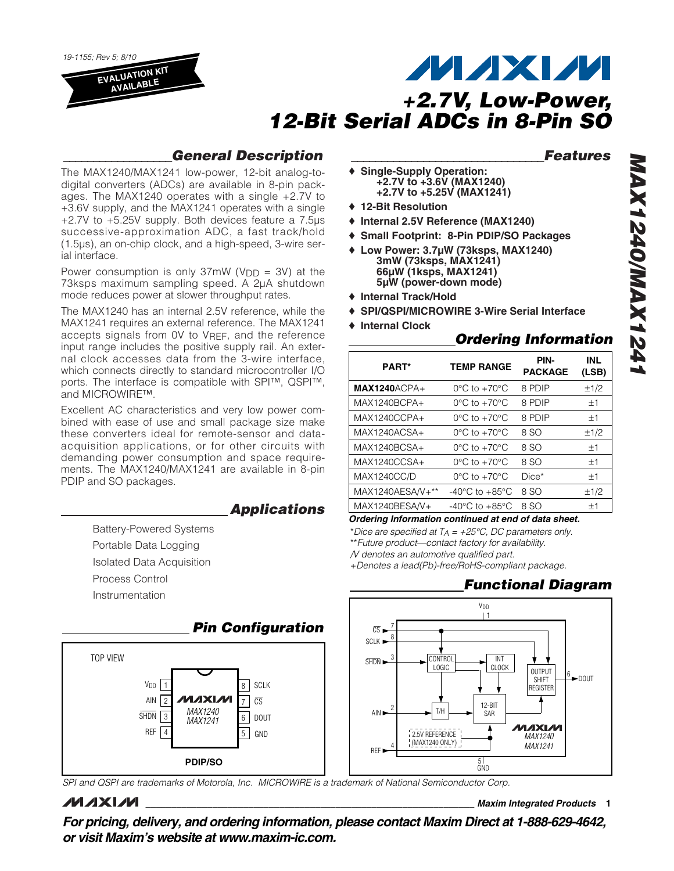*19-1155; Rev 5; 8/10* **EVALUATION KIT AVAILABLE**

# **MAXM** *+2.7V, Low-Power, 12-Bit Serial ADCs in 8-Pin SO*

### *\_\_\_\_\_\_\_\_\_\_\_\_\_\_\_\_\_\_General Description*

The MAX1240/MAX1241 low-power, 12-bit analog-todigital converters (ADCs) are available in 8-pin packages. The MAX1240 operates with a single +2.7V to +3.6V supply, and the MAX1241 operates with a single +2.7V to +5.25V supply. Both devices feature a 7.5µs successive-approximation ADC, a fast track/hold (1.5µs), an on-chip clock, and a high-speed, 3-wire serial interface.

Power consumption is only  $37mW$  (V<sub>DD</sub> = 3V) at the 73ksps maximum sampling speed. A 2µA shutdown mode reduces power at slower throughput rates.

The MAX1240 has an internal 2.5V reference, while the MAX1241 requires an external reference. The MAX1241 accepts signals from 0V to VREF, and the reference input range includes the positive supply rail. An external clock accesses data from the 3-wire interface, which connects directly to standard microcontroller I/O ports. The interface is compatible with SPI™, QSPI™, and MICROWIRE™.

Excellent AC characteristics and very low power combined with ease of use and small package size make these converters ideal for remote-sensor and dataacquisition applications, or for other circuits with demanding power consumption and space requirements. The MAX1240/MAX1241 are available in 8-pin PDIP and SO packages.

### *Applications*

- Battery-Powered Systems
- Portable Data Logging
- Isolated Data Acquisition
- Process Control
- Instrumentation

*Pin Configuration* TOP VIEW VDD SCLK 1 8 илхім  $\overline{\text{CS}}$ AIN 7 2 *MAX1240* SHDN 6 DOUT 3 *MAX1241* REF 4 5 GND 4 5 **PDIP/SO**

*SPI and QSPI are trademarks of Motorola, Inc. MICROWIRE is a trademark of National Semiconductor Corp.*

## **MAXIM**

*\_\_\_\_\_\_\_\_\_\_\_\_\_\_\_\_\_\_\_\_\_\_\_\_\_\_\_\_\_\_\_\_Features*

- ♦ **Single-Supply Operation: +2.7V to +3.6V (MAX1240) +2.7V to +5.25V (MAX1241)**
- ♦ **12-Bit Resolution**
- ♦ **Internal 2.5V Reference (MAX1240)**
- ♦ **Small Footprint: 8-Pin PDIP/SO Packages**
- ♦ **Low Power: 3.7µW (73ksps, MAX1240) 3mW (73ksps, MAX1241) 66µW (1ksps, MAX1241) 5µW (power-down mode)**
- ♦ **Internal Track/Hold**
- ♦ **SPI/QSPI/MICROWIRE 3-Wire Serial Interface**
- ♦ **Internal Clock**

### *Ordering Information*

| <b>PART*</b>       | <b>TEMP RANGE</b>                    | PIN-<br><b>PACKAGE</b> | <b>INL</b><br>(LSB) |
|--------------------|--------------------------------------|------------------------|---------------------|
| $MAX1240$ ACPA+    | $0^{\circ}$ C to $+70^{\circ}$ C     | 8 PDIP                 | ±1/2                |
| MAX1240BCPA+       | $0^{\circ}$ C to $+70^{\circ}$ C     | 8 PDIP                 | ±1                  |
| MAX1240CCPA+       | $0^{\circ}$ C to $+70^{\circ}$ C     | 8 PDIP                 | ±1                  |
| MAX1240ACSA+       | $0^{\circ}$ C to $+70^{\circ}$ C     | 8 SO                   | ±1/2                |
| MAX1240BCSA+       | $0^{\circ}$ C to $+70^{\circ}$ C     | 8 SO                   | ±1                  |
| MAX1240CCSA+       | $0^{\circ}$ C to +70 $^{\circ}$ C    | 8 SO                   | ±1                  |
| <b>MAX1240CC/D</b> | $0^{\circ}$ C to $+70^{\circ}$ C     | $Dice*$                | ±1                  |
| MAX1240AESA/V+**   | $-40^{\circ}$ C to $+85^{\circ}$ C   | 8 SO                   | ±1/2                |
| MAX1240BESA/V+     | -40 $^{\circ}$ C to +85 $^{\circ}$ C | 8 SO                   | ±1                  |

*Ordering Information continued at end of data sheet.*

- \**Dice are specified at TA = +25°C, DC parameters only.*
- \*\**Future product—contact factory for availability.*
- */V denotes an automotive qualified part.*
- +*Denotes a lead(Pb)-free/RoHS-compliant package.*

## *Functional Diagram*



**\_\_\_\_\_\_\_\_\_\_\_\_\_\_\_\_\_\_\_\_\_\_\_\_\_\_\_\_\_\_\_\_\_\_\_\_\_\_\_\_\_\_\_\_\_\_\_\_\_\_\_\_\_\_\_\_\_\_\_\_\_\_\_\_** *Maxim Integrated Products* **1**

*For pricing, delivery, and ordering information, please contact Maxim Direct at 1-888-629-4642, or visit Maxim's website at www.maxim-ic.com.*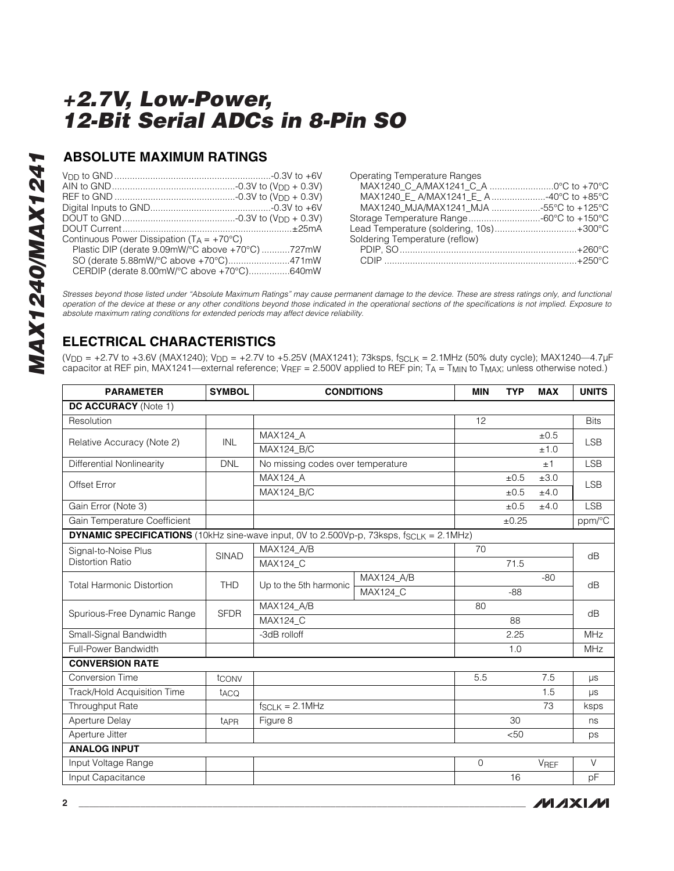### **ABSOLUTE MAXIMUM RATINGS**

| Continuous Power Dissipation ( $T_A = +70^{\circ}C$ ) |  |
|-------------------------------------------------------|--|
| Plastic DIP (derate 9.09mW/°C above +70°C) 727mW      |  |
| SO (derate 5.88mW/°C above +70°C)471mW                |  |
| CERDIP (derate 8.00mW/°C above +70°C)640mW            |  |

| MAX1240_C_A/MAX1241_C_A 0°C to +70°C     |
|------------------------------------------|
| MAX1240 E A/MAX1241 E A40°C to +85°C     |
| MAX1240 MJA/MAX1241 MJA -55°C to +125°C  |
| Storage Temperature Range-60°C to +150°C |
| Lead Temperature (soldering, 10s)+300°C  |
|                                          |
|                                          |
|                                          |
|                                          |

*Stresses beyond those listed under "Absolute Maximum Ratings" may cause permanent damage to the device. These are stress ratings only, and functional operation of the device at these or any other conditions beyond those indicated in the operational sections of the specifications is not implied. Exposure to absolute maximum rating conditions for extended periods may affect device reliability.*

## **ELECTRICAL CHARACTERISTICS**

(VDD = +2.7V to +3.6V (MAX1240); VDD = +2.7V to +5.25V (MAX1241); 73ksps, fSCLK = 2.1MHz (50% duty cycle); MAX1240—4.7µF capacitor at REF pin, MAX1241—external reference; V<sub>REF</sub> = 2.500V applied to REF pin; T<sub>A</sub> = T<sub>MIN</sub> to T<sub>MAX</sub>; unless otherwise noted.)

| <b>PARAMETER</b>                                                                                | <b>SYMBOL</b>    | <b>CONDITIONS</b>                 | <b>MIN</b>      | <b>TYP</b>  | <b>MAX</b> | <b>UNITS</b> |             |  |
|-------------------------------------------------------------------------------------------------|------------------|-----------------------------------|-----------------|-------------|------------|--------------|-------------|--|
| DC ACCURACY (Note 1)                                                                            |                  |                                   |                 |             |            |              |             |  |
| Resolution                                                                                      |                  |                                   |                 |             |            |              | <b>Bits</b> |  |
| Relative Accuracy (Note 2)                                                                      | INL              | <b>MAX124 A</b>                   |                 |             |            | ±0.5         | <b>LSB</b>  |  |
|                                                                                                 | MAX124_B/C       |                                   |                 |             | ±1.0       |              |             |  |
| <b>Differential Nonlinearity</b>                                                                | <b>DNL</b>       | No missing codes over temperature |                 |             |            | ±1           | <b>LSB</b>  |  |
| Offset Error                                                                                    |                  | MAX124_A                          |                 |             | ±0.5       | ±3.0         | <b>LSB</b>  |  |
|                                                                                                 |                  | MAX124_B/C                        |                 |             | ±0.5       | ±4.0         |             |  |
| Gain Error (Note 3)                                                                             |                  |                                   |                 |             | $\pm 0.5$  | ±4.0         | <b>LSB</b>  |  |
| Gain Temperature Coefficient                                                                    |                  |                                   |                 |             | ±0.25      |              | ppm/°C      |  |
| <b>DYNAMIC SPECIFICATIONS</b> (10kHz sine-wave input, 0V to 2.500Vp-p, 73ksps, fscl K = 2.1MHz) |                  |                                   |                 |             |            |              |             |  |
| Signal-to-Noise Plus<br><b>Distortion Ratio</b>                                                 | <b>SINAD</b>     | MAX124_A/B                        |                 | 70          |            |              | dB          |  |
|                                                                                                 |                  | MAX124_C                          |                 |             | 71.5       |              |             |  |
| <b>Total Harmonic Distortion</b>                                                                | <b>THD</b>       | Up to the 5th harmonic            | MAX124_A/B      |             |            | $-80$        | dB          |  |
|                                                                                                 |                  |                                   | <b>MAX124 C</b> |             | $-88$      |              |             |  |
| Spurious-Free Dynamic Range                                                                     | <b>SFDR</b>      | <b>MAX124 A/B</b>                 |                 | 80          |            |              | dB          |  |
|                                                                                                 |                  | MAX124_C                          |                 |             | 88         |              |             |  |
| Small-Signal Bandwidth                                                                          |                  | -3dB rolloff                      |                 |             | 2.25       |              | <b>MHz</b>  |  |
| Full-Power Bandwidth                                                                            |                  |                                   |                 |             | 1.0        |              | <b>MHz</b>  |  |
| <b>CONVERSION RATE</b>                                                                          |                  |                                   |                 |             |            |              |             |  |
| <b>Conversion Time</b>                                                                          | tconv            |                                   |                 | 5.5         |            | 7.5          | $\mu s$     |  |
| Track/Hold Acquisition Time                                                                     | t <sub>ACQ</sub> |                                   |                 |             |            | 1.5          | $\mu s$     |  |
| Throughput Rate                                                                                 |                  | $f_{SCLK} = 2.1 MHz$              |                 |             |            | 73           | ksps        |  |
| Aperture Delay                                                                                  | t <sub>APR</sub> | Figure 8                          |                 |             | 30         |              | ns          |  |
| Aperture Jitter                                                                                 |                  |                                   |                 |             | < 50       |              | ps          |  |
| <b>ANALOG INPUT</b>                                                                             |                  |                                   |                 |             |            |              |             |  |
| Input Voltage Range                                                                             |                  |                                   |                 | $\mathbf 0$ |            | VREF         | $\vee$      |  |
| Input Capacitance                                                                               |                  |                                   |                 |             | 16         |              | pF          |  |

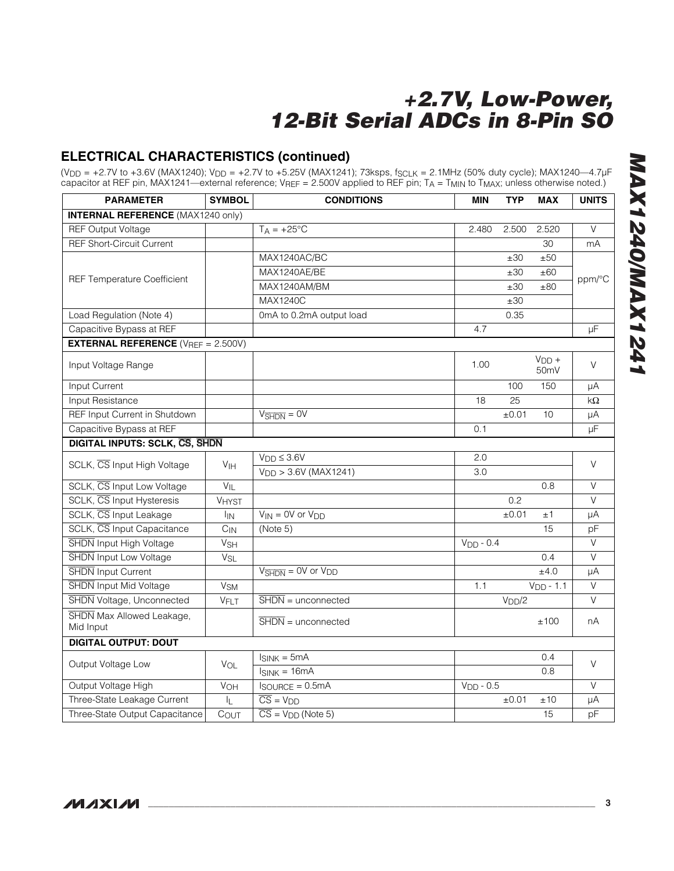### **ELECTRICAL CHARACTERISTICS (continued)**

(VDD = +2.7V to +3.6V (MAX1240); VDD = +2.7V to +5.25V (MAX1241); 73ksps, fSCLK = 2.1MHz (50% duty cycle); MAX1240—4.7µF capacitor at REF pin, MAX1241—external reference; V<sub>REF</sub> = 2.500V applied to REF pin; T<sub>A</sub> = T<sub>MIN</sub> to T<sub>MAX</sub>; unless otherwise noted.)

| <b>PARAMETER</b>                                 | <b>SYMBOL</b>         | <b>CONDITIONS</b>                                           | <b>MIN</b>  | <b>TYP</b>         | <b>MAX</b>                   | <b>UNITS</b>   |
|--------------------------------------------------|-----------------------|-------------------------------------------------------------|-------------|--------------------|------------------------------|----------------|
| <b>INTERNAL REFERENCE (MAX1240 only)</b>         |                       |                                                             |             |                    |                              |                |
| <b>REF Output Voltage</b>                        |                       | $T_A = +25^{\circ}C$                                        | 2.480       | 2.500              | 2.520                        | $\vee$         |
| <b>REF Short-Circuit Current</b>                 |                       |                                                             |             |                    | 30                           | mA             |
|                                                  |                       | MAX1240AC/BC                                                |             | ±30                | ±50                          |                |
| <b>REF Temperature Coefficient</b>               |                       | MAX1240AE/BE                                                |             | ±30                | ±60                          | ppm/°C         |
|                                                  |                       | MAX1240AM/BM                                                |             | ±30                | ±80                          |                |
|                                                  |                       | MAX1240C                                                    |             | ±30                |                              |                |
| Load Regulation (Note 4)                         |                       | 0mA to 0.2mA output load                                    |             | 0.35               |                              |                |
| Capacitive Bypass at REF                         |                       |                                                             | 4.7         |                    |                              | μF             |
| <b>EXTERNAL REFERENCE</b> ( $V_{REF} = 2.500V$ ) |                       |                                                             |             |                    |                              |                |
| Input Voltage Range                              |                       |                                                             | 1.00        |                    | $VDD +$<br>50 <sub>m</sub> V | $\vee$         |
| Input Current                                    |                       |                                                             |             | 100                | 150                          | μA             |
| Input Resistance                                 |                       |                                                             | 18          | 25                 |                              | $k\Omega$      |
| REF Input Current in Shutdown                    |                       | $V_{\overline{\text{SHDN}}} = \text{OV}$                    |             | ±0.01              | 10                           | μA             |
| Capacitive Bypass at REF                         |                       |                                                             | 0.1         |                    |                              | μF             |
| <b>DIGITAL INPUTS: SCLK, CS, SHDN</b>            |                       |                                                             |             |                    |                              |                |
| SCLK, CS Input High Voltage                      | V <sub>IH</sub>       | $V_{DD} \leq 3.6V$                                          | 2.0         |                    |                              | V              |
|                                                  |                       | $V_{DD}$ > 3.6V (MAX1241)                                   | 3.0         |                    |                              |                |
| SCLK, CS Input Low Voltage                       | $V_{IL}$              |                                                             |             |                    | 0.8                          | $\vee$         |
| SCLK, CS Input Hysteresis                        | VHYST                 |                                                             |             | 0.2                |                              | V              |
| SCLK, CS Input Leakage                           | İin                   | $V_{IN} = 0V$ or $V_{DD}$                                   |             | ±0.01              | ±1                           | μA             |
| SCLK, CS Input Capacitance                       | $C_{IN}$              | (Note 5)                                                    |             |                    | 15                           | pF             |
| <b>SHDN</b> Input High Voltage                   | <b>V<sub>SH</sub></b> |                                                             | $VDD - 0.4$ |                    |                              | $\overline{V}$ |
| <b>SHDN</b> Input Low Voltage                    | V <sub>SL</sub>       |                                                             |             |                    | 0.4                          | $\vee$         |
| <b>SHDN</b> Input Current                        |                       | $V_{\overline{\text{SHDN}}} = \text{OV}$ or $V_{\text{DD}}$ |             |                    | ±4.0                         | μA             |
| <b>SHDN</b> Input Mid Voltage                    | V <sub>SM</sub>       |                                                             | 1.1         |                    | $VDD - 1.1$                  | V              |
| SHDN Voltage, Unconnected                        | VFLT                  | $\overline{\text{SHDN}}$ = unconnected                      |             | V <sub>DD</sub> /2 |                              | V              |
| SHDN Max Allowed Leakage,<br>Mid Input           |                       | $\overline{\text{SHDN}}$ = unconnected                      |             |                    | ±100                         | nA             |
| <b>DIGITAL OUTPUT: DOUT</b>                      |                       |                                                             |             |                    |                              |                |
| Output Voltage Low                               | $V_{OL}$              | $I_{SINK} = 5mA$                                            |             |                    | 0.4                          | V              |
|                                                  |                       | $I_{SINK} = 16mA$                                           |             |                    | 0.8                          |                |
| Output Voltage High                              | VOH                   | $I$ SOURCE = $0.5$ mA                                       | $VDD - 0.5$ |                    |                              | $\vee$         |
| Three-State Leakage Current                      | IL.                   | $\overline{\overline{\text{CS}}}$ = $V_{\text{DD}}$         |             | ±0.01              | ±10                          | μA             |
| Three-State Output Capacitance                   | COUT                  | $\overline{\overline{CS}}$ = $V_{DD}$ (Note 5)              |             |                    | 15                           | pF             |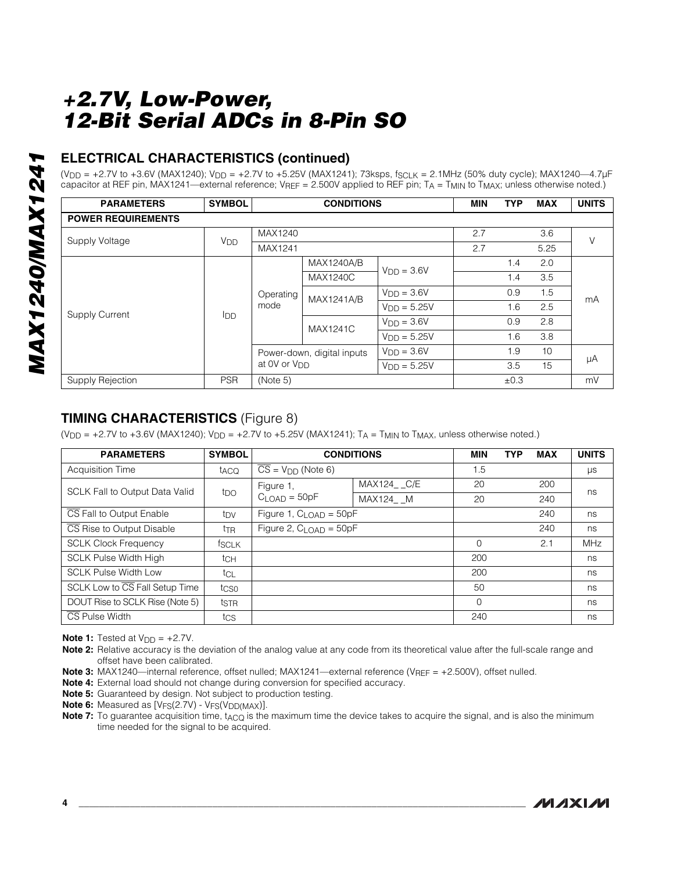### **ELECTRICAL CHARACTERISTICS (continued)**

 $(V_{DD} = +2.7V$  to  $+3.6V$  (MAX1240);  $V_{DD} = +2.7V$  to  $+5.25V$  (MAX1241); 73ksps, fsc<sub>LK</sub> = 2.1MHz (50% duty cycle); MAX1240—4.7µF capacitor at REF pin, MAX1241—external reference; VREF = 2.500V applied to REF pin; TA = T<sub>MIN</sub> to T<sub>MAX</sub>; unless otherwise noted.)

| <b>PARAMETERS</b>         | <b>SYMBOL</b>         | <b>CONDITIONS</b>        |                            |                  | <b>MIN</b> | <b>TYP</b> | <b>MAX</b> | <b>UNITS</b> |  |
|---------------------------|-----------------------|--------------------------|----------------------------|------------------|------------|------------|------------|--------------|--|
| <b>POWER REQUIREMENTS</b> |                       |                          |                            |                  |            |            |            |              |  |
| Supply Voltage            |                       | MAX1240                  |                            |                  | 2.7        |            | 3.6        | $\vee$       |  |
|                           | <b>V<sub>DD</sub></b> | MAX1241                  |                            |                  | 2.7        |            | 5.25       |              |  |
| <b>Supply Current</b>     |                       |                          | <b>MAX1240A/B</b>          | $VDD = 3.6V$     |            | 1.4        | 2.0        |              |  |
|                           | <b>I</b> DD           | Operating<br>mode        | <b>MAX1240C</b>            |                  |            | 1.4        | 3.5        | mA           |  |
|                           |                       |                          | <b>MAX1241A/B</b>          | $V_{DD} = 3.6V$  |            | 0.9        | 1.5        |              |  |
|                           |                       |                          |                            | $V_{DD} = 5.25V$ |            | 1.6        | 2.5        |              |  |
|                           |                       |                          | <b>MAX1241C</b>            | $VDD = 3.6V$     |            | 0.9        | 2.8        |              |  |
|                           |                       |                          |                            | $VDD = 5.25V$    |            | 1.6        | 3.8        |              |  |
|                           |                       |                          | Power-down, digital inputs | $VDD = 3.6V$     |            | 1.9        | 10         |              |  |
|                           |                       | at 0V or V <sub>DD</sub> |                            | $VDD = 5.25V$    |            | 3.5        | 15         | μA           |  |
| Supply Rejection          | <b>PSR</b>            | (Note 5)                 |                            |                  |            | ±0.3       |            | mV           |  |

### **TIMING CHARACTERISTICS** (Figure 8)

 $(V_{DD} = +2.7V$  to  $+3.6V$  (MAX1240);  $V_{DD} = +2.7V$  to  $+5.25V$  (MAX1241); T<sub>A</sub> = T<sub>MIN</sub> to T<sub>MAX</sub>, unless otherwise noted.)

| <b>PARAMETERS</b>                     | <b>SYMBOL</b>   | <b>CONDITIONS</b>                   |            | <b>MIN</b> | <b>TYP</b> | <b>MAX</b> | <b>UNITS</b> |
|---------------------------------------|-----------------|-------------------------------------|------------|------------|------------|------------|--------------|
| <b>Acquisition Time</b>               | taco            | $\overline{CS}$ = $V_{DD}$ (Note 6) |            | 1.5        |            |            | μs           |
| <b>SCLK Fall to Output Data Valid</b> |                 | Figure 1.                           | MAX124 C/E | 20         |            | 200        | ns           |
|                                       | tpo             | $CLOAD = 50pF$                      | MAX124 M   | 20         |            | 240        |              |
| CS Fall to Output Enable              | t <sub>DV</sub> | Figure 1, $CLOAD = 50pF$            |            |            |            | 240        | ns           |
| CS Rise to Output Disable             | t <sub>TR</sub> | Figure 2, $C_{\text{LOAD}} = 50pF$  |            |            |            | 240        | ns           |
| <b>SCLK Clock Frequency</b>           | <b>fSCLK</b>    |                                     |            | $\Omega$   |            | 2.1        | <b>MHz</b>   |
| <b>SCLK Pulse Width High</b>          | tch             |                                     |            | 200        |            |            | ns           |
| <b>SCLK Pulse Width Low</b>           | tcL             |                                     |            | 200        |            |            | ns           |
| SCLK Low to CS Fall Setup Time        | tcso            |                                     |            | 50         |            |            | ns           |
| DOUT Rise to SCLK Rise (Note 5)       | tstr            |                                     |            | $\Omega$   |            |            | ns           |
| CS Pulse Width                        | tcs             |                                     |            | 240        |            |            | ns           |

**Note 1:** Tested at  $V_{\text{DD}} = +2.7V$ .

**Note 2:** Relative accuracy is the deviation of the analog value at any code from its theoretical value after the full-scale range and offset have been calibrated.

Note 3: MAX1240—internal reference, offset nulled; MAX1241—external reference (V<sub>REF</sub> = +2.500V), offset nulled.

- **Note 4:** External load should not change during conversion for specified accuracy.
- **Note 5:** Guaranteed by design. Not subject to production testing.
- **Note 6:** Measured as  $[V_{FS}(2.7V) V_{FS}(V_{DD(MAX)})]$ .
- **Note 7:** To guarantee acquisition time, t<sub>ACQ</sub> is the maximum time the device takes to acquire the signal, and is also the minimum time needed for the signal to be acquired.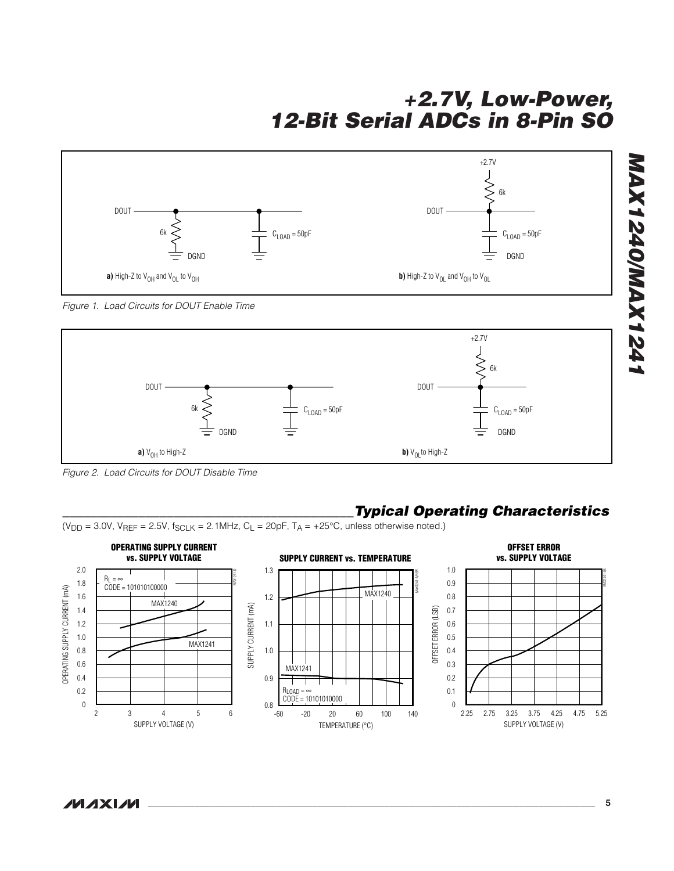

*Figure 1. Load Circuits for DOUT Enable Time*



*Figure 2. Load Circuits for DOUT Disable Time*

### *\_\_\_\_\_\_\_\_\_\_\_\_\_\_\_\_\_\_\_\_\_\_\_\_\_\_\_\_\_\_\_\_\_\_\_\_\_\_\_\_\_\_Typical Operating Characteristics*

 $(V_{DD} = 3.0V, V_{REF} = 2.5V, f_{SCLK} = 2.1MHz, C_L = 20pF, T_A = +25°C$ , unless otherwise noted.)

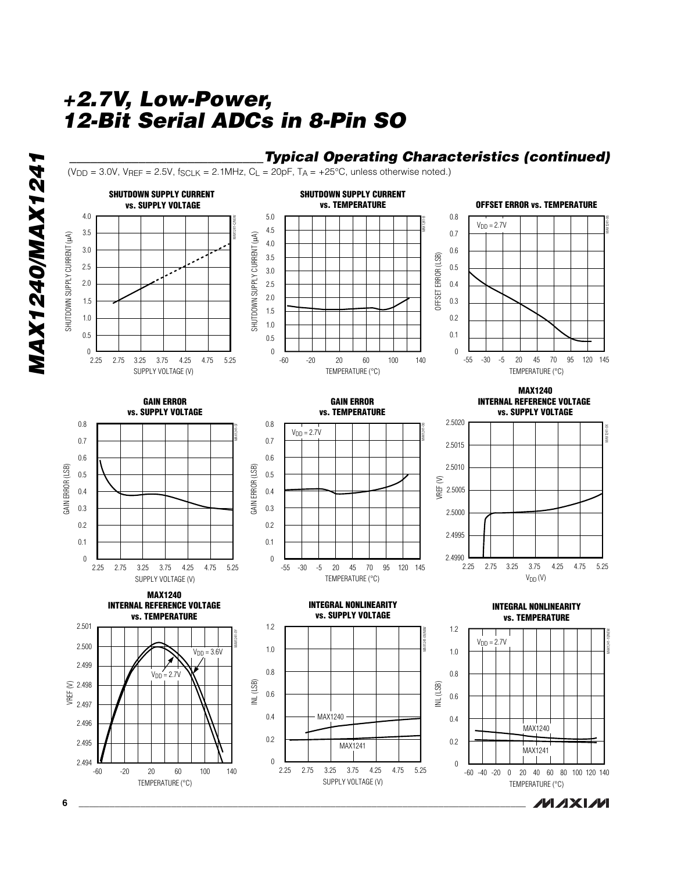## *\_\_\_\_\_\_\_\_\_\_\_\_\_\_\_\_\_\_\_\_\_\_\_\_\_\_\_\_Typical Operating Characteristics (continued)*

 $(V_{DD} = 3.0V$ ,  $V_{REF} = 2.5V$ ,  $f_{SCLK} = 2.1MHz$ ,  $C_L = 20pF$ ,  $T_A = +25^{\circ}C$ , unless otherwise noted.)



*MAX1240/MAX1241*

**MAX1240/MAX1241**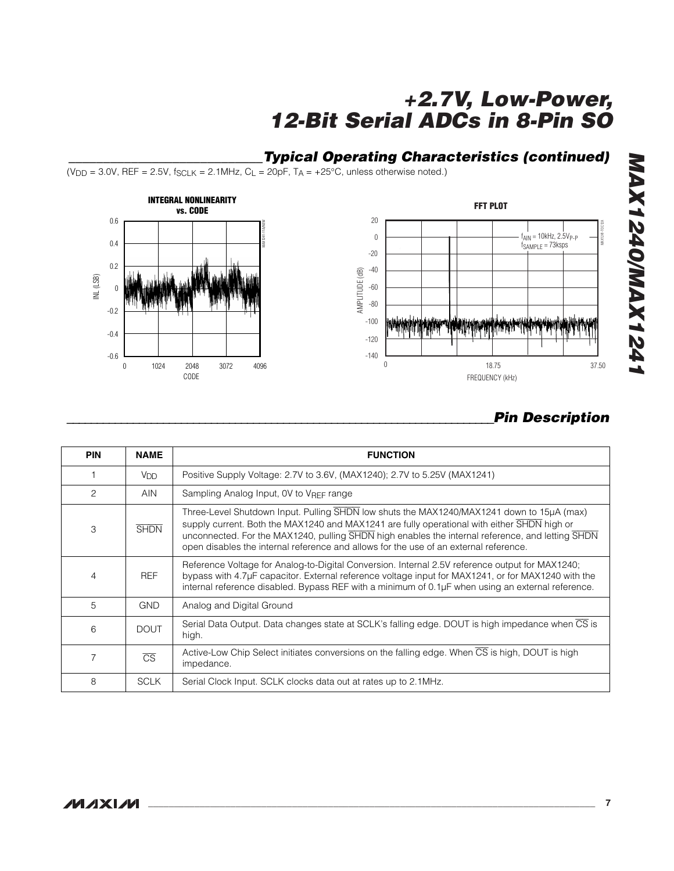## *\_\_\_\_\_\_\_\_\_\_\_\_\_\_\_\_\_\_\_\_\_\_\_\_\_\_\_\_Typical Operating Characteristics (continued)*

 $(V_{DD} = 3.0V$ , REF = 2.5V, f<sub>SCLK</sub> = 2.1MHz, C<sub>L</sub> = 20pF, T<sub>A</sub> = +25 $\degree$ C, unless otherwise noted.)





## *\_\_\_\_\_\_\_\_\_\_\_\_\_\_\_\_\_\_\_\_\_\_\_\_\_\_\_\_\_\_\_\_\_\_\_\_\_\_\_\_\_\_\_\_\_\_\_\_\_\_\_\_\_\_\_\_\_\_\_\_\_\_\_\_\_\_\_\_\_\_\_Pin Description*

| <b>PIN</b>     | <b>NAME</b>            | <b>FUNCTION</b>                                                                                                                                                                                                                                                                                                                                                                       |
|----------------|------------------------|---------------------------------------------------------------------------------------------------------------------------------------------------------------------------------------------------------------------------------------------------------------------------------------------------------------------------------------------------------------------------------------|
|                | <b>V<sub>DD</sub></b>  | Positive Supply Voltage: 2.7V to 3.6V, (MAX1240); 2.7V to 5.25V (MAX1241)                                                                                                                                                                                                                                                                                                             |
| 2              | <b>AIN</b>             | Sampling Analog Input, OV to VREF range                                                                                                                                                                                                                                                                                                                                               |
| 3              | <b>SHDN</b>            | Three-Level Shutdown Input. Pulling SHDN low shuts the MAX1240/MAX1241 down to 15µA (max)<br>supply current. Both the MAX1240 and MAX1241 are fully operational with either SHDN high or<br>unconnected. For the MAX1240, pulling SHDN high enables the internal reference, and letting SHDN<br>open disables the internal reference and allows for the use of an external reference. |
| $\overline{4}$ | <b>REF</b>             | Reference Voltage for Analog-to-Digital Conversion. Internal 2.5V reference output for MAX1240;<br>bypass with 4.7µF capacitor. External reference voltage input for MAX1241, or for MAX1240 with the<br>internal reference disabled. Bypass REF with a minimum of 0.1µF when using an external reference.                                                                            |
| 5              | <b>GND</b>             | Analog and Digital Ground                                                                                                                                                                                                                                                                                                                                                             |
| 6              | <b>DOUT</b>            | Serial Data Output. Data changes state at SCLK's falling edge. DOUT is high impedance when CS is<br>high.                                                                                                                                                                                                                                                                             |
| 7              | $\overline{\text{CS}}$ | Active-Low Chip Select initiates conversions on the falling edge. When CS is high, DOUT is high<br>impedance.                                                                                                                                                                                                                                                                         |
| 8              | <b>SCLK</b>            | Serial Clock Input. SCLK clocks data out at rates up to 2.1MHz.                                                                                                                                                                                                                                                                                                                       |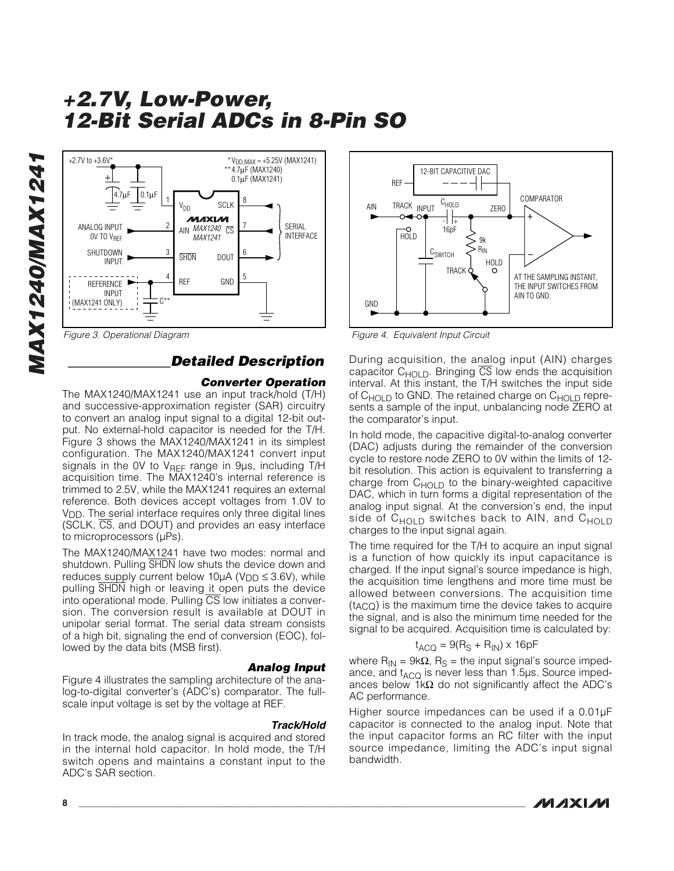

## *\_\_\_\_\_\_\_\_\_\_\_\_\_\_\_Detailed Description*

### *Converter Operation*

The MAX1240/MAX1241 use an input track/hold (T/H) and successive-approximation register (SAR) circuitry to convert an analog input signal to a digital 12-bit output. No external-hold capacitor is needed for the T/H. Figure 3 shows the MAX1240/MAX1241 in its simplest configuration. The MAX1240/MAX1241 convert input signals in the OV to  $V_{REF}$  range in 9 $\mu$ s, including T/H acquisition time. The MAX1240's internal reference is trimmed to 2.5V, while the MAX1241 requires an external reference. Both devices accept voltages from 1.0V to V<sub>DD</sub>. The serial interface requires only three digital lines (SCLK, CS, and DOUT) and provides an easy interface to microprocessors (µPs).

The MAX1240/MAX1241 have two modes: normal and shutdown. Pulling SHDN low shuts the device down and reduces supply current below 10 $\mu$ A (V<sub>DD</sub>  $\leq$  3.6V), while pulling SHDN high or leaving it open puts the device into operational mode. Pulling CS low initiates a conversion. The conversion result is available at DOUT in unipolar serial format. The serial data stream consists of a high bit, signaling the end of conversion (EOC), followed by the data bits (MSB first).

#### *Analog Input* Figure 4 illustrates the sampling architecture of the analog-to-digital converter's (ADC's) comparator. The fullscale input voltage is set by the voltage at REF.

#### *Track/Hold*

In track mode, the analog signal is acquired and stored in the internal hold capacitor. In hold mode, the T/H switch opens and maintains a constant input to the ADC's SAR section.



*Figure 3. Operational Diagram Figure 4. Equivalent Input Circuit*

During acquisition, the analog input (AIN) charges capacitor  $C_{HOLD}$ . Bringing  $\overline{CS}$  low ends the acquisition interval. At this instant, the T/H switches the input side of  $C_{HOLD}$  to GND. The retained charge on  $C_{HOLD}$  represents a sample of the input, unbalancing node ZERO at the comparator's input.

In hold mode, the capacitive digital-to-analog converter (DAC) adjusts during the remainder of the conversion cycle to restore node ZERO to 0V within the limits of 12 bit resolution. This action is equivalent to transferring a charge from  $C_{HOLD}$  to the binary-weighted capacitive DAC, which in turn forms a digital representation of the analog input signal. At the conversion's end, the input side of  $C_{HOLD}$  switches back to AIN, and  $C_{HOLD}$ charges to the input signal again.

The time required for the T/H to acquire an input signal is a function of how quickly its input capacitance is charged. If the input signal's source impedance is high, the acquisition time lengthens and more time must be allowed between conversions. The acquisition time (tACQ) is the maximum time the device takes to acquire the signal, and is also the minimum time needed for the signal to be acquired. Acquisition time is calculated by:

$$
t_{ACQ} = 9(R_S + R_{IN}) \times 16pF
$$

where R<sub>IN</sub> = 9kΩ, R<sub>S</sub> = the input signal's source impedance, and  $t_{\text{ACO}}$  is never less than 1.5 $\mu$ s. Source impedances below 1kΩ do not significantly affect the ADC's AC performance.

Higher source impedances can be used if a 0.01µF capacitor is connected to the analog input. Note that the input capacitor forms an RC filter with the input source impedance, limiting the ADC's input signal bandwidth.

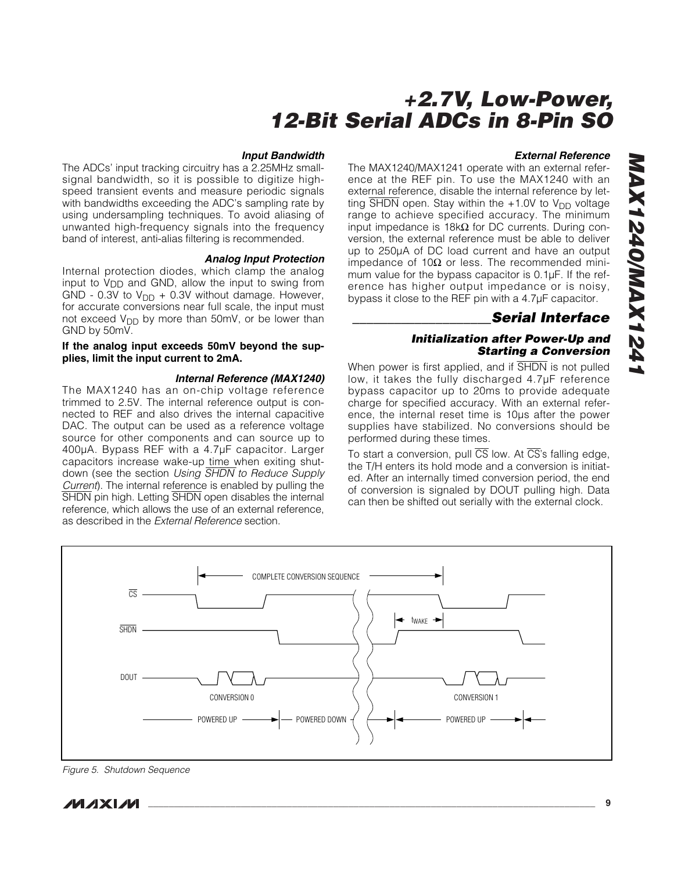#### *Input Bandwidth*

The ADCs' input tracking circuitry has a 2.25MHz smallsignal bandwidth, so it is possible to digitize highspeed transient events and measure periodic signals with bandwidths exceeding the ADC's sampling rate by using undersampling techniques. To avoid aliasing of unwanted high-frequency signals into the frequency band of interest, anti-alias filtering is recommended.

#### *Analog Input Protection*

Internal protection diodes, which clamp the analog input to V<sub>DD</sub> and GND, allow the input to swing from GND - 0.3V to  $V_{DD}$  + 0.3V without damage. However, for accurate conversions near full scale, the input must not exceed  $V_{DD}$  by more than 50mV, or be lower than GND by 50mV.

#### **If the analog input exceeds 50mV beyond the supplies, limit the input current to 2mA.**

#### *Internal Reference (MAX1240)*

The MAX1240 has an on-chip voltage reference trimmed to 2.5V. The internal reference output is connected to REF and also drives the internal capacitive DAC. The output can be used as a reference voltage source for other components and can source up to 400µA. Bypass REF with a 4.7µF capacitor. Larger capacitors increase wake-up time when exiting shutdown (see the section *Using* SHDN *to Reduce Supply Current*). The internal reference is enabled by pulling the SHDN pin high. Letting SHDN open disables the internal reference, which allows the use of an external reference, as described in the *External Reference* section.

#### *External Reference*

The MAX1240/MAX1241 operate with an external reference at the REF pin. To use the MAX1240 with an external reference, disable the internal reference by letting  $\overline{\text{SHDN}}$  open. Stay within the +1.0V to V<sub>DD</sub> voltage range to achieve specified accuracy. The minimum input impedance is 18kΩ for DC currents. During conversion, the external reference must be able to deliver up to 250µA of DC load current and have an output impedance of 10Ω or less. The recommended minimum value for the bypass capacitor is 0.1µF. If the reference has higher output impedance or is noisy, bypass it close to the REF pin with a 4.7µF capacitor.

### *\_\_\_\_\_\_\_\_\_\_\_\_\_\_\_\_\_\_\_\_Serial Interface*

### *Initialization after Power-Up and Starting a Conversion*

When power is first applied, and if SHDN is not pulled low, it takes the fully discharged 4.7µF reference bypass capacitor up to 20ms to provide adequate charge for specified accuracy. With an external reference, the internal reset time is 10µs after the power supplies have stabilized. No conversions should be performed during these times.

To start a conversion, pull  $\overline{CS}$  low. At  $\overline{CS}$ 's falling edge, the T/H enters its hold mode and a conversion is initiated. After an internally timed conversion period, the end of conversion is signaled by DOUT pulling high. Data can then be shifted out serially with the external clock.



*Figure 5. Shutdown Sequence*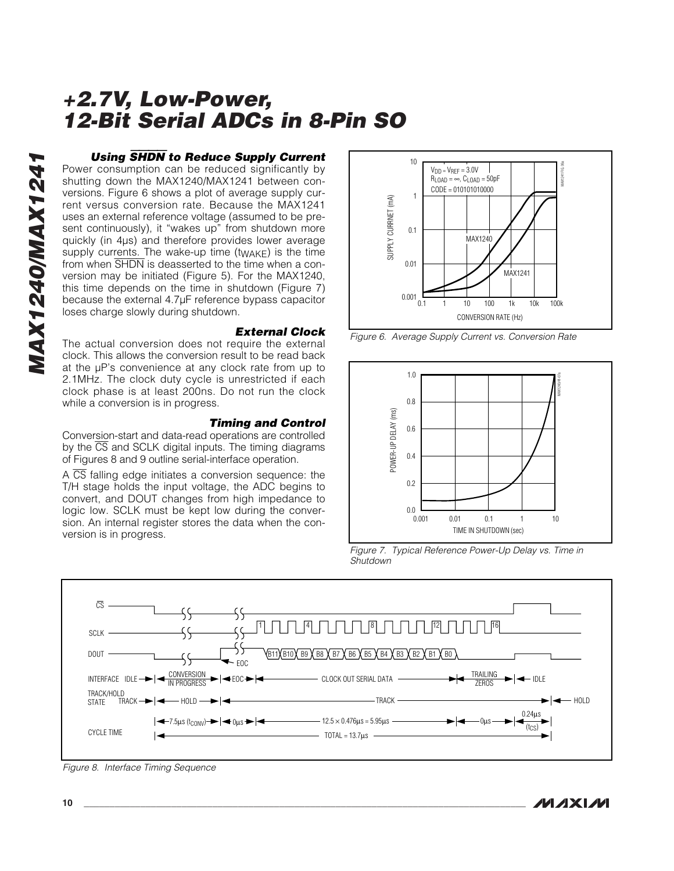### *Using* SHDN *to Reduce Supply Current*

Power consumption can be reduced significantly by shutting down the MAX1240/MAX1241 between conversions. Figure 6 shows a plot of average supply current versus conversion rate. Because the MAX1241 uses an external reference voltage (assumed to be present continuously), it "wakes up" from shutdown more quickly (in 4µs) and therefore provides lower average supply currents. The wake-up time  $(t_{\text{WAKF}})$  is the time from when SHDN is deasserted to the time when a conversion may be initiated (Figure 5). For the MAX1240, this time depends on the time in shutdown (Figure 7) because the external 4.7µF reference bypass capacitor loses charge slowly during shutdown.

#### *External Clock*

The actual conversion does not require the external clock. This allows the conversion result to be read back at the µP's convenience at any clock rate from up to 2.1MHz. The clock duty cycle is unrestricted if each clock phase is at least 200ns. Do not run the clock while a conversion is in progress.

### *Timing and Control*

Conversion-start and data-read operations are controlled by the  $\overline{CS}$  and SCLK digital inputs. The timing diagrams of Figures 8 and 9 outline serial-interface operation.

A  $\overline{CS}$  falling edge initiates a conversion sequence: the T/H stage holds the input voltage, the ADC begins to convert, and DOUT changes from high impedance to logic low. SCLK must be kept low during the conversion. An internal register stores the data when the conversion is in progress.



*Figure 6. Average Supply Current vs. Conversion Rate*



*Figure 7. Typical Reference Power-Up Delay vs. Time in Shutdown*



*Figure 8. Interface Timing Sequence*

**MAXM**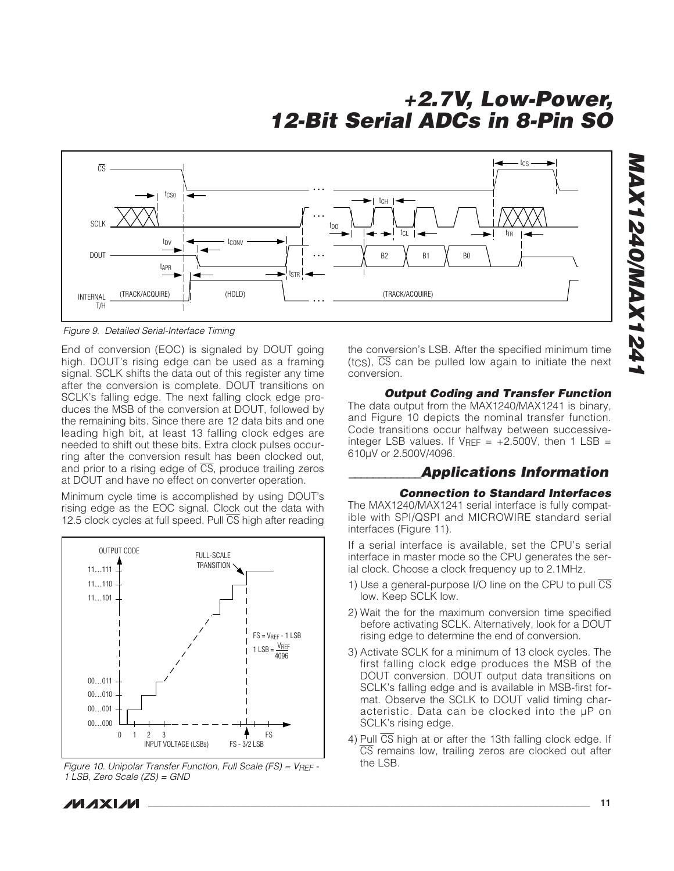

*Figure 9. Detailed Serial-Interface Timing*

End of conversion (EOC) is signaled by DOUT going high. DOUT's rising edge can be used as a framing signal. SCLK shifts the data out of this register any time after the conversion is complete. DOUT transitions on SCLK's falling edge. The next falling clock edge produces the MSB of the conversion at DOUT, followed by the remaining bits. Since there are 12 data bits and one leading high bit, at least 13 falling clock edges are needed to shift out these bits. Extra clock pulses occurring after the conversion result has been clocked out, and prior to a rising edge of  $\overline{CS}$ , produce trailing zeros at DOUT and have no effect on converter operation.

Minimum cycle time is accomplished by using DOUT's rising edge as the EOC signal. Clock out the data with 12.5 clock cycles at full speed. Pull CS high after reading



*Figure 10. Unipolar Transfer Function, Full Scale (FS) = VREF - 1 LSB, Zero Scale (ZS) = GND*

the conversion's LSB. After the specified minimum time  $(t_{\text{CS}})$ ,  $\overline{\text{CS}}$  can be pulled low again to initiate the next conversion.

## *Output Coding and Transfer Function*

The data output from the MAX1240/MAX1241 is binary, and Figure 10 depicts the nominal transfer function. Code transitions occur halfway between successiveinteger LSB values. If  $V_{REF}$  = +2.500V, then 1 LSB = 610µV or 2.500V/4096.

### *\_\_\_\_\_\_\_\_\_\_\_\_Applications Information*

### *Connection to Standard Interfaces*

The MAX1240/MAX1241 serial interface is fully compatible with SPI/QSPI and MICROWIRE standard serial interfaces (Figure 11).

If a serial interface is available, set the CPU's serial interface in master mode so the CPU generates the serial clock. Choose a clock frequency up to 2.1MHz.

- 1) Use a general-purpose I/O line on the CPU to pull  $\overline{\text{CS}}$ low. Keep SCLK low.
- 2) Wait the for the maximum conversion time specified before activating SCLK. Alternatively, look for a DOUT rising edge to determine the end of conversion.
- 3) Activate SCLK for a minimum of 13 clock cycles. The first falling clock edge produces the MSB of the DOUT conversion. DOUT output data transitions on SCLK's falling edge and is available in MSB-first format. Observe the SCLK to DOUT valid timing characteristic. Data can be clocked into the µP on SCLK's rising edge.
- 4) Pull CS high at or after the 13th falling clock edge. If CS remains low, trailing zeros are clocked out after the LSB.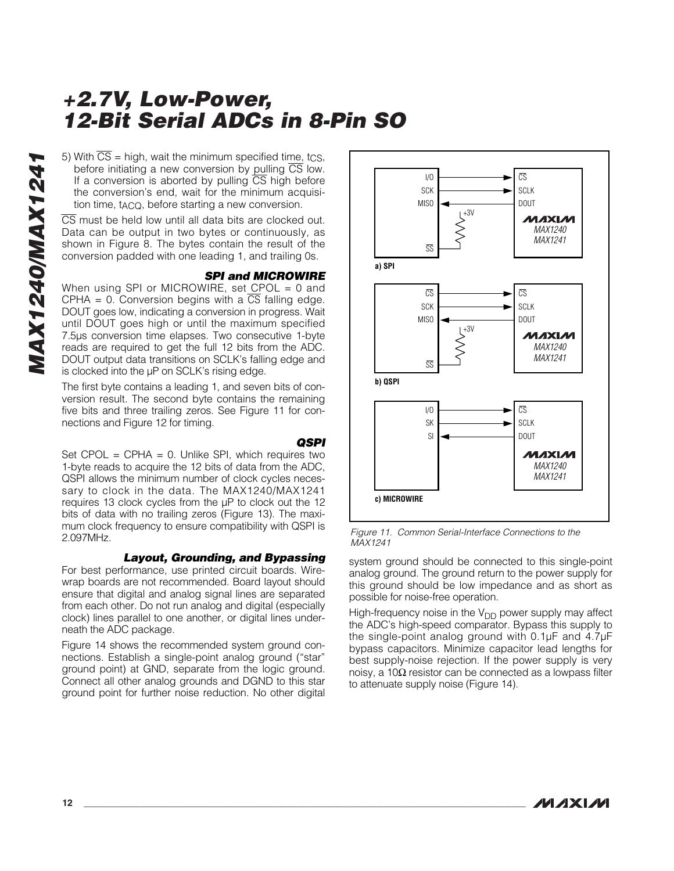5) With  $\overline{CS}$  = high, wait the minimum specified time, tcs, before initiating a new conversion by pulling  $\overline{CS}$  low. If a conversion is aborted by pulling  $\overline{CS}$  high before the conversion's end, wait for the minimum acquisition time, t<sub>ACQ</sub>, before starting a new conversion.

CS must be held low until all data bits are clocked out. Data can be output in two bytes or continuously, as shown in Figure 8. The bytes contain the result of the conversion padded with one leading 1, and trailing 0s.

### *SPI and MICROWIRE*

When using SPI or MICROWIRE, set CPOL = 0 and CPHA = 0. Conversion begins with a  $\overline{CS}$  falling edge. DOUT goes low, indicating a conversion in progress. Wait until DOUT goes high or until the maximum specified 7.5µs conversion time elapses. Two consecutive 1-byte reads are required to get the full 12 bits from the ADC. DOUT output data transitions on SCLK's falling edge and is clocked into the µP on SCLK's rising edge.

The first byte contains a leading 1, and seven bits of conversion result. The second byte contains the remaining five bits and three trailing zeros. See Figure 11 for connections and Figure 12 for timing.

### *QSPI*

Set  $CPOL = CPHA = 0$ . Unlike SPI, which requires two 1-byte reads to acquire the 12 bits of data from the ADC, QSPI allows the minimum number of clock cycles necessary to clock in the data. The MAX1240/MAX1241 requires 13 clock cycles from the µP to clock out the 12 bits of data with no trailing zeros (Figure 13). The maximum clock frequency to ensure compatibility with QSPI is 2.097MHz.

### *Layout, Grounding, and Bypassing*

For best performance, use printed circuit boards. Wirewrap boards are not recommended. Board layout should ensure that digital and analog signal lines are separated from each other. Do not run analog and digital (especially clock) lines parallel to one another, or digital lines underneath the ADC package.

Figure 14 shows the recommended system ground connections. Establish a single-point analog ground ("star" ground point) at GND, separate from the logic ground. Connect all other analog grounds and DGND to this star ground point for further noise reduction. No other digital



*Figure 11. Common Serial-Interface Connections to the MAX1241*

system ground should be connected to this single-point analog ground. The ground return to the power supply for this ground should be low impedance and as short as possible for noise-free operation.

High-frequency noise in the  $V_{DD}$  power supply may affect the ADC's high-speed comparator. Bypass this supply to the single-point analog ground with 0.1µF and 4.7µF bypass capacitors. Minimize capacitor lead lengths for best supply-noise rejection. If the power supply is very noisy, a 10Ω resistor can be connected as a lowpass filter to attenuate supply noise (Figure 14).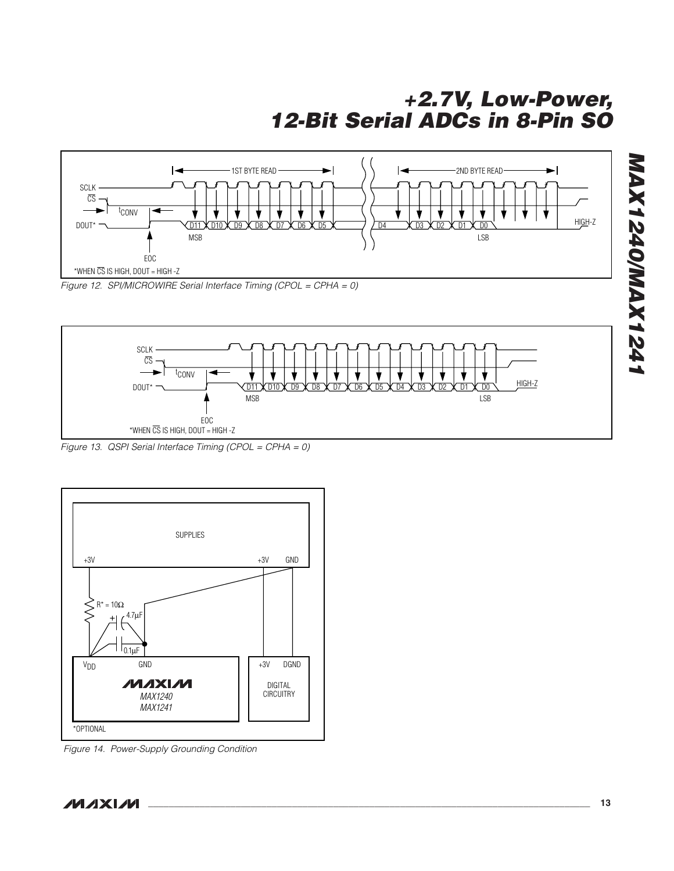



*Figure 13. QSPI Serial Interface Timing (CPOL = CPHA = 0)*



*Figure 14. Power-Supply Grounding Condition*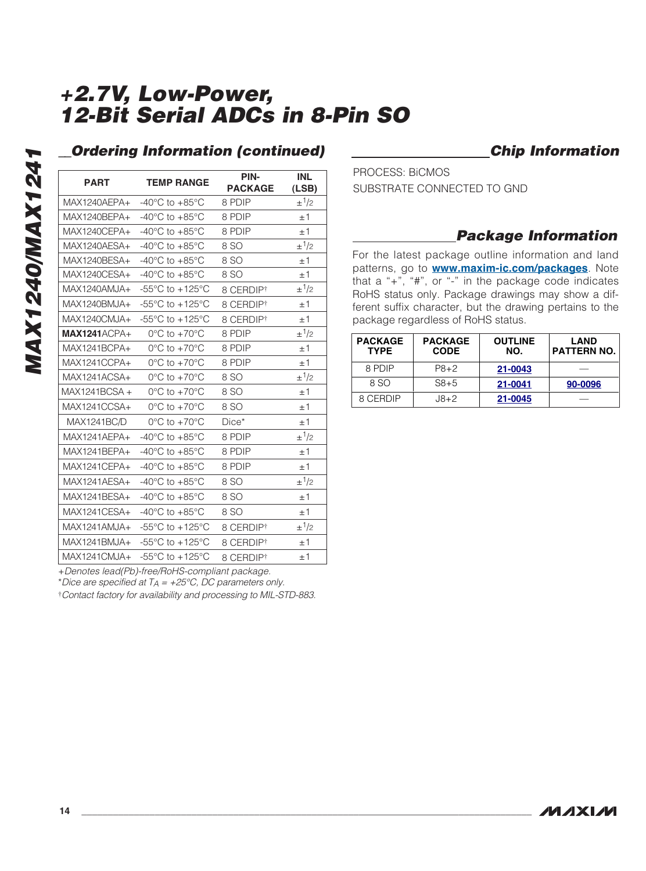| <b>PART</b>         | <b>TEMP RANGE</b>                                     | PIN-<br><b>PACKAGE</b> | <b>INL</b><br>(LSB)   |
|---------------------|-------------------------------------------------------|------------------------|-----------------------|
| MAX1240AEPA+        | $-40^{\circ}$ C to $+85^{\circ}$ C                    | 8 PDIP                 | $\pm$ <sup>1</sup> /2 |
| MAX1240BEPA+        | -40 $^{\circ}$ C to +85 $^{\circ}$ C                  | 8 PDIP                 | ±1                    |
| MAX1240CEPA+        | -40 $^{\circ}$ C to +85 $^{\circ}$ C                  | 8 PDIP                 | ±1                    |
| MAX1240AESA+        | -40 $^{\circ}$ C to +85 $^{\circ}$ C                  | 8 SO                   | $\pm$ 1/2             |
| MAX1240BESA+        | -40 $^{\circ}$ C to +85 $^{\circ}$ C                  | 8 SO                   | ±1                    |
| MAX1240CESA+        | $-40^{\circ}$ C to $+85^{\circ}$ C                    | 8 SO                   | ±1                    |
| MAX1240AMJA+        | $-55^{\circ}$ C to $+125^{\circ}$ C                   | 8 CERDIP <sup>†</sup>  | $\pm$ <sup>1</sup> /2 |
| MAX1240BMJA+        | $-55^{\circ}$ C to $+125^{\circ}$ C                   | 8 CERDIP <sup>†</sup>  | ±1                    |
| MAX1240CMJA+        | $-55^{\circ}$ C to $+125^{\circ}$ C                   | 8 CERDIPt              | ±1                    |
| <b>MAX1241ACPA+</b> | $0^{\circ}$ C to $+70^{\circ}$ C                      | 8 PDIP                 | $\pm$ <sup>1</sup> /2 |
| MAX1241BCPA+        | $0^{\circ}$ C to $+70^{\circ}$ C                      | 8 PDIP                 | ±1                    |
| MAX1241CCPA+        | $0^{\circ}$ C to $+70^{\circ}$ C                      | 8 PDIP                 | ±1                    |
| MAX1241ACSA+        | $0^{\circ}$ C to +70 $^{\circ}$ C                     | 8 SO                   | $\pm$ <sup>1</sup> /2 |
| MAX1241BCSA +       | $0^{\circ}$ C to $+70^{\circ}$ C                      | 8 SO                   | ±1                    |
| MAX1241CCSA+        | $0^{\circ}$ C to $+70^{\circ}$ C                      | 8 SO                   | ±1                    |
| <b>MAX1241BC/D</b>  | $0^{\circ}$ C to +70 $^{\circ}$ C                     | Dice*                  | ±1                    |
| $MAX1241AFPA+$      | -40 $^{\circ}$ C to +85 $^{\circ}$ C                  | 8 PDIP                 | $\pm$ <sup>1</sup> /2 |
| MAX1241BEPA+        | $-40^{\circ}$ C to $+85^{\circ}$ C                    | 8 PDIP                 | ±1                    |
| MAX1241CEPA+        | -40 $^{\circ}$ C to +85 $^{\circ}$ C                  | 8 PDIP                 | ±1                    |
| MAX1241AFSA+        | $-40^{\circ}$ C to $+85^{\circ}$ C                    | 8 SO                   | $\pm$ <sup>1</sup> /2 |
| MAX1241BESA+        | -40 $^{\circ}$ C to +85 $^{\circ}$ C                  | 8 SO                   | ±1                    |
| MAX1241CFSA+        | $-40^{\circ}$ C to $+85^{\circ}$ C                    | 8 SO                   | ±1                    |
| $MAX1241AMJA+$      | $-55^{\circ}$ C to $+125^{\circ}$ C                   | 8 CERDIPt              | $\pm$ 1/2             |
| MAX1241BMJA+        | -55 $\mathrm{^{\circ}C}$ to +125 $\mathrm{^{\circ}C}$ | 8 CERDIPt              | ±1                    |
| MAX1241CMJA+        | $-55^{\circ}$ C to $+125^{\circ}$ C                   | 8 CERDIPt              | ±1                    |

### *Ordering Information (continued) Chip Information*

PROCESS: BiCMOS SUBSTRATE CONNECTED TO GND

## *Package Information*

For the latest package outline information and land patterns, go to **[www.maxim-ic.com/packages](http://www.maxim-ic.com/packages)**. Note that a "+", "#", or "-" in the package code indicates RoHS status only. Package drawings may show a different suffix character, but the drawing pertains to the package regardless of RoHS status.

| <b>PACKAGE</b><br><b>TYPE</b> | <b>PACKAGE</b><br><b>CODE</b> | <b>OUTLINE</b><br>NO. | LAND<br><b>PATTERN NO.</b> |
|-------------------------------|-------------------------------|-----------------------|----------------------------|
| 8 PDIP                        | $PA + 2$                      | 21-0043               |                            |
| 8 SO                          | $S8 + 5$                      | 21-0041               | 90-0096                    |
| 8 CERDIP                      | $3+2$                         | 21-0045               |                            |

+*Denotes lead(Pb)-free/RoHS-compliant package.*

\**Dice are specified at TA = +25°C, DC parameters only.*

†*Contact factory for availability and processing to MIL-STD-883.*

*MAX1240/MAX1241*

**MAX1240/MAX1241**